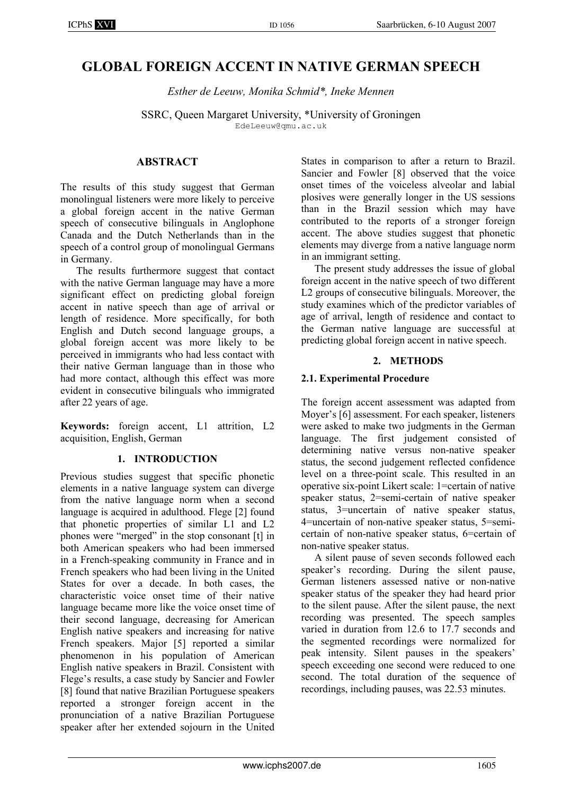# GLOBAL FOREIGN ACCENT IN NATIVE GERMAN SPEECH

Esther de Leeuw, Monika Schmid\*, Ineke Mennen

SSRC, Queen Margaret University, \*University of Groningen EdeLeeuw@qmu.ac.uk

#### **ABSTRACT**

The results of this study suggest that German monolingual listeners were more likely to perceive a global foreign accent in the native German speech of consecutive bilinguals in Anglophone Canada and the Dutch Netherlands than in the speech of a control group of monolingual Germans in Germany.

 The results furthermore suggest that contact with the native German language may have a more significant effect on predicting global foreign accent in native speech than age of arrival or length of residence. More specifically, for both English and Dutch second language groups, a global foreign accent was more likely to be perceived in immigrants who had less contact with their native German language than in those who had more contact, although this effect was more evident in consecutive bilinguals who immigrated after 22 years of age.

Keywords: foreign accent, L1 attrition, L2 acquisition, English, German

#### 1. INTRODUCTION

Previous studies suggest that specific phonetic elements in a native language system can diverge from the native language norm when a second language is acquired in adulthood. Flege [2] found that phonetic properties of similar L1 and L2 phones were "merged" in the stop consonant [t] in both American speakers who had been immersed in a French-speaking community in France and in French speakers who had been living in the United States for over a decade. In both cases, the characteristic voice onset time of their native language became more like the voice onset time of their second language, decreasing for American English native speakers and increasing for native French speakers. Major [5] reported a similar phenomenon in his population of American English native speakers in Brazil. Consistent with Flege's results, a case study by Sancier and Fowler [8] found that native Brazilian Portuguese speakers reported a stronger foreign accent in the pronunciation of a native Brazilian Portuguese speaker after her extended sojourn in the United States in comparison to after a return to Brazil. Sancier and Fowler [8] observed that the voice onset times of the voiceless alveolar and labial plosives were generally longer in the US sessions than in the Brazil session which may have contributed to the reports of a stronger foreign accent. The above studies suggest that phonetic elements may diverge from a native language norm in an immigrant setting.

The present study addresses the issue of global foreign accent in the native speech of two different L2 groups of consecutive bilinguals. Moreover, the study examines which of the predictor variables of age of arrival, length of residence and contact to the German native language are successful at predicting global foreign accent in native speech.

#### 2. METHODS

#### 2.1. Experimental Procedure

The foreign accent assessment was adapted from Moyer's [6] assessment. For each speaker, listeners were asked to make two judgments in the German language. The first judgement consisted of determining native versus non-native speaker status, the second judgement reflected confidence level on a three-point scale. This resulted in an operative six-point Likert scale: 1=certain of native speaker status, 2=semi-certain of native speaker status, 3=uncertain of native speaker status, 4=uncertain of non-native speaker status, 5=semicertain of non-native speaker status, 6=certain of non-native speaker status.

A silent pause of seven seconds followed each speaker's recording. During the silent pause, German listeners assessed native or non-native speaker status of the speaker they had heard prior to the silent pause. After the silent pause, the next recording was presented. The speech samples varied in duration from 12.6 to 17.7 seconds and the segmented recordings were normalized for peak intensity. Silent pauses in the speakers' speech exceeding one second were reduced to one second. The total duration of the sequence of recordings, including pauses, was 22.53 minutes.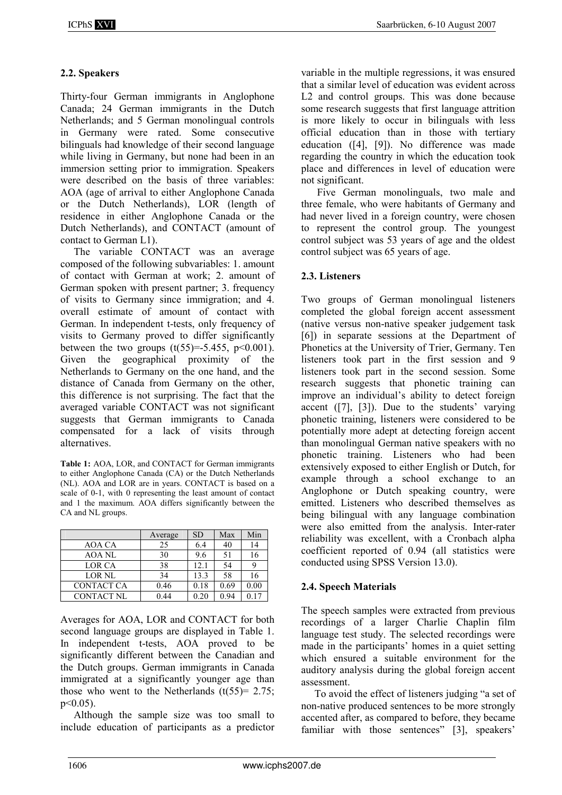# 2.2. Speakers

Thirty-four German immigrants in Anglophone Canada; 24 German immigrants in the Dutch Netherlands; and 5 German monolingual controls in Germany were rated. Some consecutive bilinguals had knowledge of their second language while living in Germany, but none had been in an immersion setting prior to immigration. Speakers were described on the basis of three variables: AOA (age of arrival to either Anglophone Canada or the Dutch Netherlands), LOR (length of residence in either Anglophone Canada or the Dutch Netherlands), and CONTACT (amount of contact to German L1).

The variable CONTACT was an average composed of the following subvariables: 1. amount of contact with German at work; 2. amount of German spoken with present partner; 3. frequency of visits to Germany since immigration; and 4. overall estimate of amount of contact with German. In independent t-tests, only frequency of visits to Germany proved to differ significantly between the two groups  $(t(55)=5.455, p<0.001)$ . Given the geographical proximity of the Netherlands to Germany on the one hand, and the distance of Canada from Germany on the other, this difference is not surprising. The fact that the averaged variable CONTACT was not significant suggests that German immigrants to Canada compensated for a lack of visits through alternatives.

Table 1: AOA, LOR, and CONTACT for German immigrants to either Anglophone Canada (CA) or the Dutch Netherlands (NL). AOA and LOR are in years. CONTACT is based on a scale of 0-1, with 0 representing the least amount of contact and 1 the maximum. AOA differs significantly between the CA and NL groups.

|                   | Average | <b>SD</b> | Max  | Min  |
|-------------------|---------|-----------|------|------|
| AOA CA            | 25      | 6.4       | 40   | 14   |
| AOA NL            | 30      | 9.6       | 51   | 16   |
| LOR CA            | 38      | 12.1      | 54   |      |
| LOR NL            | 34      | 13.3      | 58   | 16   |
| <b>CONTACT CA</b> | 0.46    | 0.18      | 0.69 | 0.00 |
| <b>CONTACT NL</b> | 0.44    | 0.20      | 0.94 | າ 17 |

Averages for AOA, LOR and CONTACT for both second language groups are displayed in Table 1. In independent t-tests, AOA proved to be significantly different between the Canadian and the Dutch groups. German immigrants in Canada immigrated at a significantly younger age than those who went to the Netherlands  $(t(55)= 2.75;$ p<0.05).

Although the sample size was too small to include education of participants as a predictor

variable in the multiple regressions, it was ensured that a similar level of education was evident across L2 and control groups. This was done because some research suggests that first language attrition is more likely to occur in bilinguals with less official education than in those with tertiary education ([4], [9]). No difference was made regarding the country in which the education took place and differences in level of education were not significant.

 Five German monolinguals, two male and three female, who were habitants of Germany and had never lived in a foreign country, were chosen to represent the control group. The youngest control subject was 53 years of age and the oldest control subject was 65 years of age.

# 2.3. Listeners

Two groups of German monolingual listeners completed the global foreign accent assessment (native versus non-native speaker judgement task [6]) in separate sessions at the Department of Phonetics at the University of Trier, Germany. Ten listeners took part in the first session and 9 listeners took part in the second session. Some research suggests that phonetic training can improve an individual's ability to detect foreign accent ([7], [3]). Due to the students' varying phonetic training, listeners were considered to be potentially more adept at detecting foreign accent than monolingual German native speakers with no phonetic training. Listeners who had been extensively exposed to either English or Dutch, for example through a school exchange to an Anglophone or Dutch speaking country, were emitted. Listeners who described themselves as being bilingual with any language combination were also emitted from the analysis. Inter-rater reliability was excellent, with a Cronbach alpha coefficient reported of 0.94 (all statistics were conducted using SPSS Version 13.0).

# 2.4. Speech Materials

The speech samples were extracted from previous recordings of a larger Charlie Chaplin film language test study. The selected recordings were made in the participants' homes in a quiet setting which ensured a suitable environment for the auditory analysis during the global foreign accent assessment.

To avoid the effect of listeners judging "a set of non-native produced sentences to be more strongly accented after, as compared to before, they became familiar with those sentences" [3], speakers'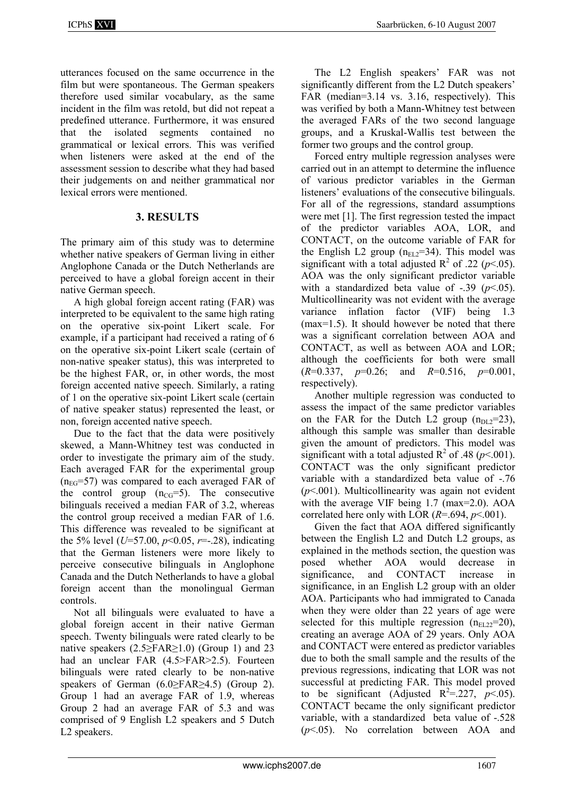utterances focused on the same occurrence in the film but were spontaneous. The German speakers therefore used similar vocabulary, as the same incident in the film was retold, but did not repeat a predefined utterance. Furthermore, it was ensured that the isolated segments contained no grammatical or lexical errors. This was verified when listeners were asked at the end of the assessment session to describe what they had based their judgements on and neither grammatical nor lexical errors were mentioned.

# 3. RESULTS

The primary aim of this study was to determine whether native speakers of German living in either Anglophone Canada or the Dutch Netherlands are perceived to have a global foreign accent in their native German speech.

A high global foreign accent rating (FAR) was interpreted to be equivalent to the same high rating on the operative six-point Likert scale. For example, if a participant had received a rating of 6 on the operative six-point Likert scale (certain of non-native speaker status), this was interpreted to be the highest FAR, or, in other words, the most foreign accented native speech. Similarly, a rating of 1 on the operative six-point Likert scale (certain of native speaker status) represented the least, or non, foreign accented native speech.

Due to the fact that the data were positively skewed, a Mann-Whitney test was conducted in order to investigate the primary aim of the study. Each averaged FAR for the experimental group  $(n_{EG}=57)$  was compared to each averaged FAR of the control group  $(n_{CG}=5)$ . The consecutive bilinguals received a median FAR of 3.2, whereas the control group received a median FAR of 1.6. This difference was revealed to be significant at the 5% level ( $U=57.00, p<0.05, r=.28$ ), indicating that the German listeners were more likely to perceive consecutive bilinguals in Anglophone Canada and the Dutch Netherlands to have a global foreign accent than the monolingual German controls.

Not all bilinguals were evaluated to have a global foreign accent in their native German speech. Twenty bilinguals were rated clearly to be native speakers  $(2.5 \geq FAR \geq 1.0)$  (Group 1) and 23 had an unclear FAR (4.5>FAR>2.5). Fourteen bilinguals were rated clearly to be non-native speakers of German (6.0≥FAR≥4.5) (Group 2). Group 1 had an average FAR of 1.9, whereas Group 2 had an average FAR of 5.3 and was comprised of 9 English L2 speakers and 5 Dutch L2 speakers.

The L2 English speakers' FAR was not significantly different from the L2 Dutch speakers' FAR (median=3.14 vs. 3.16, respectively). This was verified by both a Mann-Whitney test between the averaged FARs of the two second language groups, and a Kruskal-Wallis test between the former two groups and the control group.

Forced entry multiple regression analyses were carried out in an attempt to determine the influence of various predictor variables in the German listeners' evaluations of the consecutive bilinguals. For all of the regressions, standard assumptions were met [1]. The first regression tested the impact of the predictor variables AOA, LOR, and CONTACT, on the outcome variable of FAR for the English L2 group  $(n_{EL2}=34)$ . This model was significant with a total adjusted  $R^2$  of .22 ( $p$ <.05). AOA was the only significant predictor variable with a standardized beta value of  $-.39$  ( $p<.05$ ). Multicollinearity was not evident with the average variance inflation factor (VIF) being 1.3 (max=1.5). It should however be noted that there was a significant correlation between AOA and CONTACT, as well as between AOA and LOR; although the coefficients for both were small  $(R=0.337, p=0.26;$  and  $R=0.516, p=0.001,$ respectively).

Another multiple regression was conducted to assess the impact of the same predictor variables on the FAR for the Dutch L2 group  $(n_{DL2}=23)$ , although this sample was smaller than desirable given the amount of predictors. This model was significant with a total adjusted  $R^2$  of .48 ( $p$ <.001). CONTACT was the only significant predictor variable with a standardized beta value of -.76  $(p<.001)$ . Multicollinearity was again not evident with the average VIF being 1.7 (max=2.0). AOA correlated here only with LOR  $(R=.694, p<.001)$ .

Given the fact that AOA differed significantly between the English L2 and Dutch L2 groups, as explained in the methods section, the question was posed whether AOA would decrease in significance, and CONTACT increase in significance, in an English L2 group with an older AOA. Participants who had immigrated to Canada when they were older than 22 years of age were selected for this multiple regression  $(n_{E1,22}=20)$ , creating an average AOA of 29 years. Only AOA and CONTACT were entered as predictor variables due to both the small sample and the results of the previous regressions, indicating that LOR was not successful at predicting FAR. This model proved to be significant (Adjusted R<sup>2</sup>=.227,  $p<$ .05). CONTACT became the only significant predictor variable, with a standardized beta value of -.528  $(p<.05)$ . No correlation between AOA and